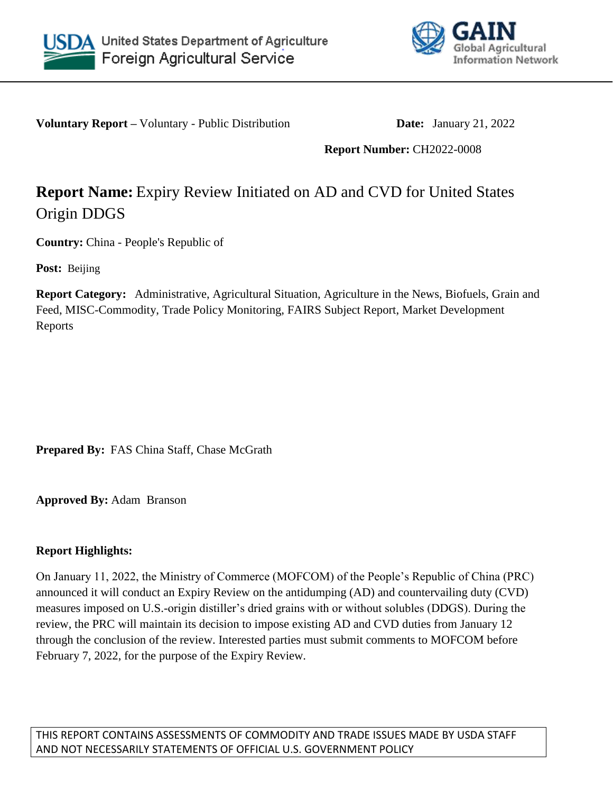



**Voluntary Report –** Voluntary - Public Distribution **Date:** January 21, 2022

## **Report Number:** CH2022-0008

# **Report Name:** Expiry Review Initiated on AD and CVD for United States Origin DDGS

**Country:** China - People's Republic of

**Post:** Beijing

**Report Category:** Administrative, Agricultural Situation, Agriculture in the News, Biofuels, Grain and Feed, MISC-Commodity, Trade Policy Monitoring, FAIRS Subject Report, Market Development Reports

**Prepared By:** FAS China Staff, Chase McGrath

**Approved By:** Adam Branson

# **Report Highlights:**

On January 11, 2022, the Ministry of Commerce (MOFCOM) of the People's Republic of China (PRC) announced it will conduct an Expiry Review on the antidumping (AD) and countervailing duty (CVD) measures imposed on U.S.-origin distiller's dried grains with or without solubles (DDGS). During the review, the PRC will maintain its decision to impose existing AD and CVD duties from January 12 through the conclusion of the review. Interested parties must submit comments to MOFCOM before February 7, 2022, for the purpose of the Expiry Review.

THIS REPORT CONTAINS ASSESSMENTS OF COMMODITY AND TRADE ISSUES MADE BY USDA STAFF AND NOT NECESSARILY STATEMENTS OF OFFICIAL U.S. GOVERNMENT POLICY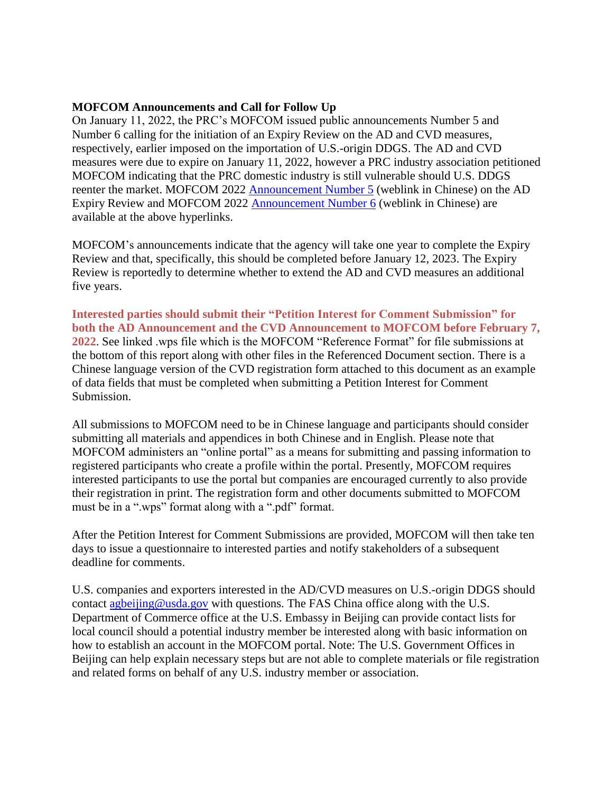#### **MOFCOM Announcements and Call for Follow Up**

On January 11, 2022, the PRC's MOFCOM issued public announcements Number 5 and Number 6 calling for the initiation of an Expiry Review on the AD and CVD measures, respectively, earlier imposed on the importation of U.S.-origin DDGS. The AD and CVD measures were due to expire on January 11, 2022, however a PRC industry association petitioned MOFCOM indicating that the PRC domestic industry is still vulnerable should U.S. DDGS reenter the market. MOFCOM 2022 [Announcement Number 5](http://www.mofcom.gov.cn/article/zwgk/gkzcfb/202201/20220103236181.shtml) (weblink in Chinese) on the AD Expiry Review and MOFCOM 2022 [Announcement Number 6](http://www.mofcom.gov.cn/article/zwgk/gkzcfb/202201/20220103236220.shtml) (weblink in Chinese) are available at the above hyperlinks.

MOFCOM's announcements indicate that the agency will take one year to complete the Expiry Review and that, specifically, this should be completed before January 12, 2023. The Expiry Review is reportedly to determine whether to extend the AD and CVD measures an additional five years.

**Interested parties should submit their "Petition Interest for Comment Submission" for both the AD Announcement and the CVD Announcement to MOFCOM before February 7, 2022**. See linked .wps file which is the MOFCOM "Reference Format" for file submissions at the bottom of this report along with other files in the Referenced Document section. There is a Chinese language version of the CVD registration form attached to this document as an example of data fields that must be completed when submitting a Petition Interest for Comment Submission.

All submissions to MOFCOM need to be in Chinese language and participants should consider submitting all materials and appendices in both Chinese and in English. Please note that MOFCOM administers an "online portal" as a means for submitting and passing information to registered participants who create a profile within the portal. Presently, MOFCOM requires interested participants to use the portal but companies are encouraged currently to also provide their registration in print. The registration form and other documents submitted to MOFCOM must be in a ".wps" format along with a ".pdf" format.

After the Petition Interest for Comment Submissions are provided, MOFCOM will then take ten days to issue a questionnaire to interested parties and notify stakeholders of a subsequent deadline for comments.

U.S. companies and exporters interested in the AD/CVD measures on U.S.-origin DDGS should contact [agbeijing@usda.gov](mailto:agbeijing@usda.gov) with questions. The FAS China office along with the U.S. Department of Commerce office at the U.S. Embassy in Beijing can provide contact lists for local council should a potential industry member be interested along with basic information on how to establish an account in the MOFCOM portal. Note: The U.S. Government Offices in Beijing can help explain necessary steps but are not able to complete materials or file registration and related forms on behalf of any U.S. industry member or association.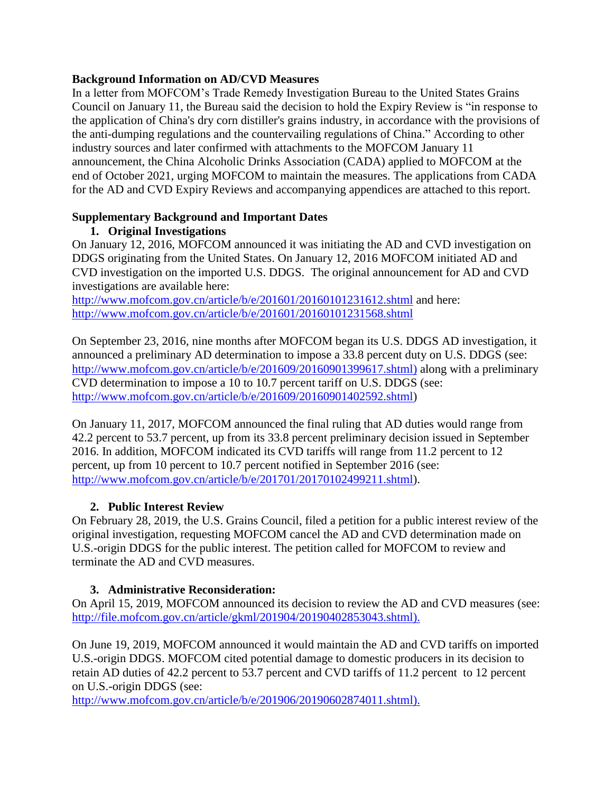#### **Background Information on AD/CVD Measures**

In a letter from MOFCOM's Trade Remedy Investigation Bureau to the United States Grains Council on January 11, the Bureau said the decision to hold the Expiry Review is "in response to the application of China's dry corn distiller's grains industry, in accordance with the provisions of the anti-dumping regulations and the countervailing regulations of China." According to other industry sources and later confirmed with attachments to the MOFCOM January 11 announcement, the China Alcoholic Drinks Association (CADA) applied to MOFCOM at the end of October 2021, urging MOFCOM to maintain the measures. The applications from CADA for the AD and CVD Expiry Reviews and accompanying appendices are attached to this report.

#### **Supplementary Background and Important Dates 1. Original Investigations**

On January 12, 2016, MOFCOM announced it was initiating the AD and CVD investigation on DDGS originating from the United States. On January 12, 2016 MOFCOM initiated AD and CVD investigation on the imported U.S. DDGS. The original announcement for AD and CVD investigations are available here:

<http://www.mofcom.gov.cn/article/b/e/201601/20160101231612.shtml> and here: <http://www.mofcom.gov.cn/article/b/e/201601/20160101231568.shtml>

On September 23, 2016, nine months after MOFCOM began its U.S. DDGS AD investigation, it announced a preliminary AD determination to impose a 33.8 percent duty on U.S. DDGS (see: [http://www.mofcom.gov.cn/article/b/e/201609/20160901399617.shtml\)](http://www.mofcom.gov.cn/article/b/e/201609/20160901399617.shtml) along with a preliminary CVD determination to impose a 10 to 10.7 percent tariff on U.S. DDGS (see: [http://www.mofcom.gov.cn/article/b/e/201609/20160901402592.shtml\)](http://www.mofcom.gov.cn/article/b/e/201609/20160901402592.shtml)

On January 11, 2017, MOFCOM announced the final ruling that AD duties would range from 42.2 percent to 53.7 percent, up from its 33.8 percent preliminary decision issued in September 2016. In addition, MOFCOM indicated its CVD tariffs will range from 11.2 percent to 12 percent, up from 10 percent to 10.7 percent notified in September 2016 (see: [http://www.mofcom.gov.cn/article/b/e/201701/20170102499211.shtml\)](http://www.mofcom.gov.cn/article/b/e/201701/20170102499211.shtml).

## **2. Public Interest Review**

On February 28, 2019, the U.S. Grains Council, filed a petition for a public interest review of the original investigation, requesting MOFCOM cancel the AD and CVD determination made on U.S.-origin DDGS for the public interest. The petition called for MOFCOM to review and terminate the AD and CVD measures.

# **3. Administrative Reconsideration:**

On April 15, 2019, MOFCOM announced its decision to review the AD and CVD measures (see: [http://file.mofcom.gov.cn/article/gkml/201904/20190402853043.shtml\)](http://file.mofcom.gov.cn/article/gkml/201904/20190402853043.shtml).

On June 19, 2019, MOFCOM announced it would maintain the AD and CVD tariffs on imported U.S.-origin DDGS. MOFCOM cited potential damage to domestic producers in its decision to retain AD duties of 42.2 percent to 53.7 percent and CVD tariffs of 11.2 percent to 12 percent on U.S.-origin DDGS (see:

[http://www.mofcom.gov.cn/article/b/e/201906/20190602874011.shtml\)](http://www.mofcom.gov.cn/article/b/e/201906/20190602874011.shtml).